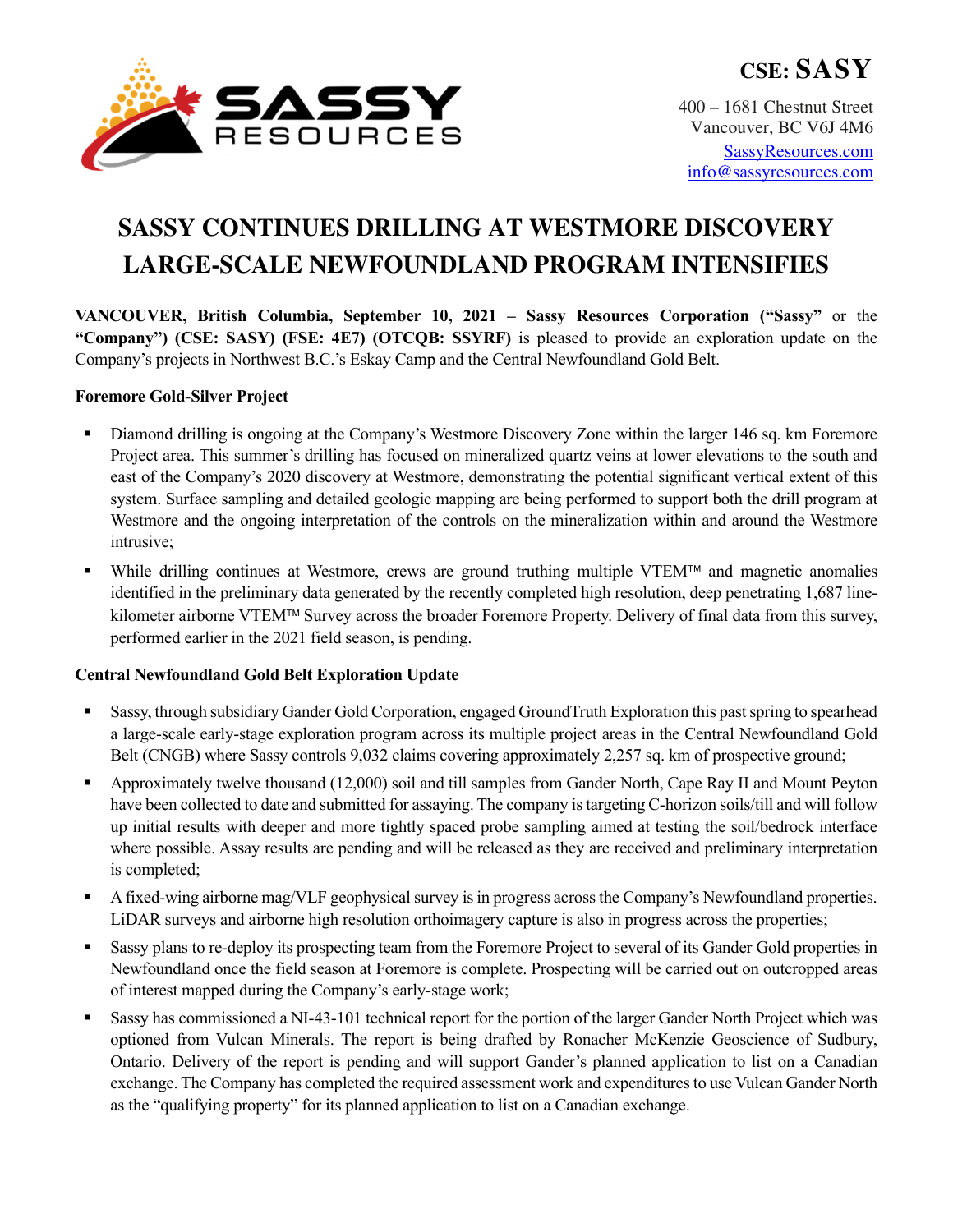

400 – 1681 Chestnut Street Vancouver, BC V6J 4M6 SassyResources.com info@sassyresources.com

# **SASSY CONTINUES DRILLING AT WESTMORE DISCOVERY LARGE-SCALE NEWFOUNDLAND PROGRAM INTENSIFIES**

**VANCOUVER, British Columbia, September 10, 2021 – Sassy Resources Corporation ("Sassy"** or the **"Company") (CSE: SASY) (FSE: 4E7) (OTCQB: SSYRF)** is pleased to provide an exploration update on the Company's projects in Northwest B.C.'s Eskay Camp and the Central Newfoundland Gold Belt.

### **Foremore Gold-Silver Project**

- Diamond drilling is ongoing at the Company's Westmore Discovery Zone within the larger 146 sq. km Foremore Project area. This summer's drilling has focused on mineralized quartz veins at lower elevations to the south and east of the Company's 2020 discovery at Westmore, demonstrating the potential significant vertical extent of this system. Surface sampling and detailed geologic mapping are being performed to support both the drill program at Westmore and the ongoing interpretation of the controls on the mineralization within and around the Westmore intrusive;
- While drilling continues at Westmore, crews are ground truthing multiple VTEM<sup> $M$ </sup> and magnetic anomalies identified in the preliminary data generated by the recently completed high resolution, deep penetrating 1,687 linekilometer airborne VTEM™ Survey across the broader Foremore Property. Delivery of final data from this survey, performed earlier in the 2021 field season, is pending.

#### **Central Newfoundland Gold Belt Exploration Update**

- Sassy, through subsidiary Gander Gold Corporation, engaged GroundTruth Exploration this past spring to spearhead a large-scale early-stage exploration program across its multiple project areas in the Central Newfoundland Gold Belt (CNGB) where Sassy controls 9,032 claims covering approximately 2,257 sq. km of prospective ground;
- Approximately twelve thousand (12,000) soil and till samples from Gander North, Cape Ray II and Mount Peyton have been collected to date and submitted for assaying. The company is targeting C-horizon soils/till and will follow up initial results with deeper and more tightly spaced probe sampling aimed at testing the soil/bedrock interface where possible. Assay results are pending and will be released as they are received and preliminary interpretation is completed;
- A fixed-wing airborne mag/VLF geophysical survey is in progress across the Company's Newfoundland properties. LiDAR surveys and airborne high resolution orthoimagery capture is also in progress across the properties;
- Sassy plans to re-deploy its prospecting team from the Foremore Project to several of its Gander Gold properties in Newfoundland once the field season at Foremore is complete. Prospecting will be carried out on outcropped areas of interest mapped during the Company's early-stage work;
- Sassy has commissioned a NI-43-101 technical report for the portion of the larger Gander North Project which was optioned from Vulcan Minerals. The report is being drafted by Ronacher McKenzie Geoscience of Sudbury, Ontario. Delivery of the report is pending and will support Gander's planned application to list on a Canadian exchange. The Company has completed the required assessment work and expenditures to use Vulcan Gander North as the "qualifying property" for its planned application to list on a Canadian exchange.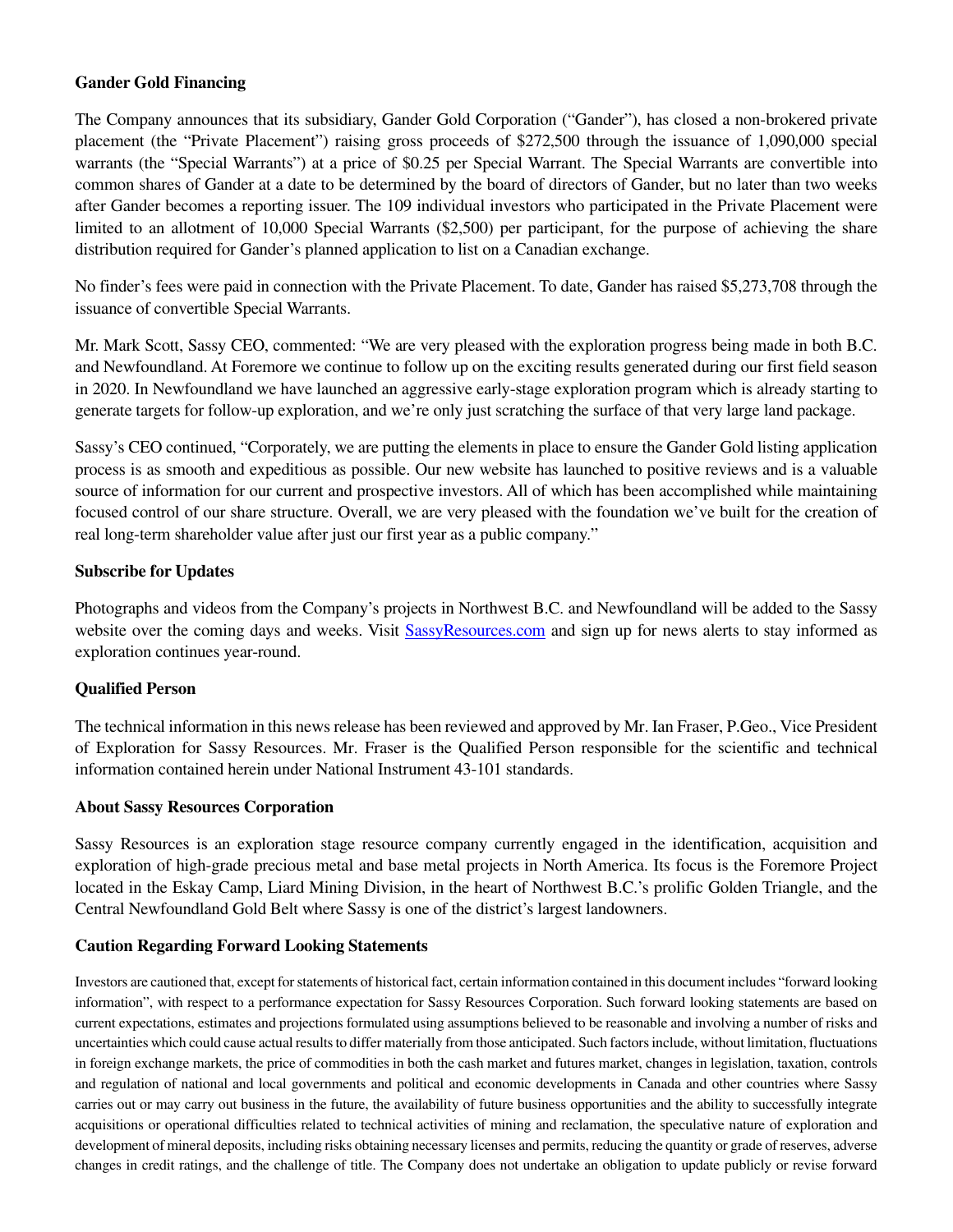#### **Gander Gold Financing**

The Company announces that its subsidiary, Gander Gold Corporation ("Gander"), has closed a non-brokered private placement (the "Private Placement") raising gross proceeds of \$272,500 through the issuance of 1,090,000 special warrants (the "Special Warrants") at a price of \$0.25 per Special Warrant. The Special Warrants are convertible into common shares of Gander at a date to be determined by the board of directors of Gander, but no later than two weeks after Gander becomes a reporting issuer. The 109 individual investors who participated in the Private Placement were limited to an allotment of 10,000 Special Warrants (\$2,500) per participant, for the purpose of achieving the share distribution required for Gander's planned application to list on a Canadian exchange.

No finder's fees were paid in connection with the Private Placement. To date, Gander has raised \$5,273,708 through the issuance of convertible Special Warrants.

Mr. Mark Scott, Sassy CEO, commented: "We are very pleased with the exploration progress being made in both B.C. and Newfoundland. At Foremore we continue to follow up on the exciting results generated during our first field season in 2020. In Newfoundland we have launched an aggressive early-stage exploration program which is already starting to generate targets for follow-up exploration, and we're only just scratching the surface of that very large land package.

Sassy's CEO continued, "Corporately, we are putting the elements in place to ensure the Gander Gold listing application process is as smooth and expeditious as possible. Our new website has launched to positive reviews and is a valuable source of information for our current and prospective investors. All of which has been accomplished while maintaining focused control of our share structure. Overall, we are very pleased with the foundation we've built for the creation of real long-term shareholder value after just our first year as a public company."

#### **Subscribe for Updates**

Photographs and videos from the Company's projects in Northwest B.C. and Newfoundland will be added to the Sassy website over the coming days and weeks. Visit SassyResources.com and sign up for news alerts to stay informed as exploration continues year-round.

## **Qualified Person**

The technical information in this news release has been reviewed and approved by Mr. Ian Fraser, P.Geo., Vice President of Exploration for Sassy Resources. Mr. Fraser is the Qualified Person responsible for the scientific and technical information contained herein under National Instrument 43-101 standards.

#### **About Sassy Resources Corporation**

Sassy Resources is an exploration stage resource company currently engaged in the identification, acquisition and exploration of high-grade precious metal and base metal projects in North America. Its focus is the Foremore Project located in the Eskay Camp, Liard Mining Division, in the heart of Northwest B.C.'s prolific Golden Triangle, and the Central Newfoundland Gold Belt where Sassy is one of the district's largest landowners.

#### **Caution Regarding Forward Looking Statements**

Investors are cautioned that, except for statements of historical fact, certain information contained in this document includes "forward looking information", with respect to a performance expectation for Sassy Resources Corporation. Such forward looking statements are based on current expectations, estimates and projections formulated using assumptions believed to be reasonable and involving a number of risks and uncertainties which could cause actual results to differ materially from those anticipated. Such factors include, without limitation, fluctuations in foreign exchange markets, the price of commodities in both the cash market and futures market, changes in legislation, taxation, controls and regulation of national and local governments and political and economic developments in Canada and other countries where Sassy carries out or may carry out business in the future, the availability of future business opportunities and the ability to successfully integrate acquisitions or operational difficulties related to technical activities of mining and reclamation, the speculative nature of exploration and development of mineral deposits, including risks obtaining necessary licenses and permits, reducing the quantity or grade of reserves, adverse changes in credit ratings, and the challenge of title. The Company does not undertake an obligation to update publicly or revise forward